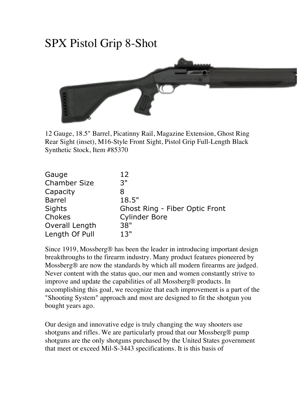## SPX Pistol Grip 8-Shot



12 Gauge, 18.5" Barrel, Picatinny Rail, Magazine Extension, Ghost Ring Rear Sight (inset), M16-Style Front Sight, Pistol Grip Full-Length Black Synthetic Stock, Item #85370

| Gauge               | $12 \ \mathrm{$                       |
|---------------------|---------------------------------------|
| <b>Chamber Size</b> | 3"                                    |
| Capacity            | 8                                     |
| <b>Barrel</b>       | 18.5"                                 |
| Sights              | <b>Ghost Ring - Fiber Optic Front</b> |
| Chokes              | <b>Cylinder Bore</b>                  |
| Overall Length      | 38"                                   |
| Length Of Pull      | 13"                                   |

Since 1919, Mossberg® has been the leader in introducing important design breakthroughs to the firearm industry. Many product features pioneered by Mossberg® are now the standards by which all modern firearms are judged. Never content with the status quo, our men and women constantly strive to improve and update the capabilities of all Mossberg® products. In accomplishing this goal, we recognize that each improvement is a part of the "Shooting System" approach and most are designed to fit the shotgun you bought years ago.

Our design and innovative edge is truly changing the way shooters use shotguns and rifles. We are particularly proud that our Mossberg® pump shotguns are the only shotguns purchased by the United States government that meet or exceed Mil-S-3443 specifications. It is this basis of